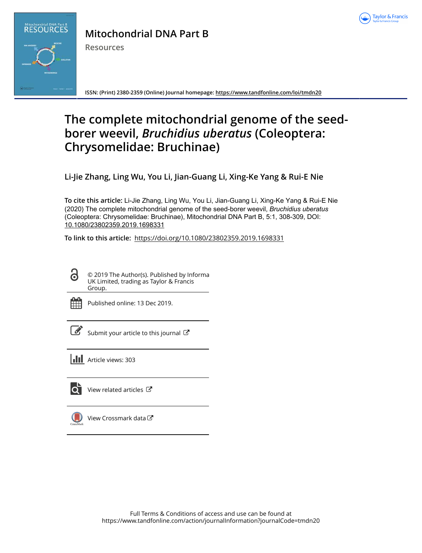



# **Mitochondrial DNA Part B**

**Resources**

**ISSN: (Print) 2380-2359 (Online) Journal homepage:<https://www.tandfonline.com/loi/tmdn20>**

# **The complete mitochondrial genome of the seedborer weevil,** *Bruchidius uberatus* **(Coleoptera: Chrysomelidae: Bruchinae)**

**Li-Jie Zhang, Ling Wu, You Li, Jian-Guang Li, Xing-Ke Yang & Rui-E Nie**

**To cite this article:** Li-Jie Zhang, Ling Wu, You Li, Jian-Guang Li, Xing-Ke Yang & Rui-E Nie (2020) The complete mitochondrial genome of the seed-borer weevil, *Bruchidius uberatus* (Coleoptera: Chrysomelidae: Bruchinae), Mitochondrial DNA Part B, 5:1, 308-309, DOI: [10.1080/23802359.2019.1698331](https://www.tandfonline.com/action/showCitFormats?doi=10.1080/23802359.2019.1698331)

**To link to this article:** <https://doi.org/10.1080/23802359.2019.1698331>

G

© 2019 The Author(s). Published by Informa UK Limited, trading as Taylor & Francis Group.



Published online: 13 Dec 2019.

[Submit your article to this journal](https://www.tandfonline.com/action/authorSubmission?journalCode=tmdn20&show=instructions)  $\mathbb{Z}$ 



lo i

[View related articles](https://www.tandfonline.com/doi/mlt/10.1080/23802359.2019.1698331) C



[View Crossmark data](http://crossmark.crossref.org/dialog/?doi=10.1080/23802359.2019.1698331&domain=pdf&date_stamp=2019-12-13)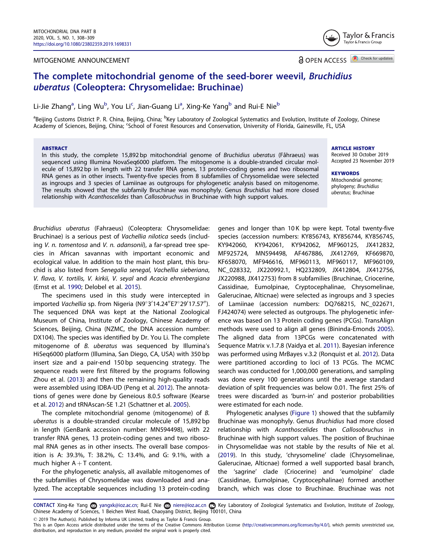### <span id="page-1-0"></span>MITOGENOME ANNOUNCEMENT



**a** OPEN ACCESS **D** Check for updates

# The complete mitochondrial genome of the seed-borer weevil, Bruchidius uberatus (Coleoptera: Chrysomelidae: Bruchinae)

Li-Jie Zhang<sup>a</sup>, Ling Wu<sup>b</sup>, You Li<sup>c</sup>, Jian-Guang Li<sup>a</sup>, Xing-Ke Yang<sup>b</sup> and Rui-E Nie<sup>b</sup>

<sup>a</sup>Beijing Customs District P. R. China, Beijing, China; <sup>b</sup>Key Laboratory of Zoological Systematics and Evolution, Institute of Zoology, Chinese Academy of Sciences, Beijing, China; <sup>c</sup>School of Forest Resources and Conservation, University of Florida, Gainesville, FL, USA

#### ABSTRACT

In this study, the complete 15,892 bp mitochondrial genome of Bruchidius uberatus (Fåhraeus) was sequenced using Illumina NovaSeq6000 platform. The mitogenome is a double-stranded circular molecule of 15,892 bp in length with 22 transfer RNA genes, 13 protein-coding genes and two ribosomal RNA genes as in other insects. Twenty-five species from 8 subfamilies of Chrysomelidae were selected as ingroups and 3 species of Lamiinae as outgroups for phylogenetic analysis based on mitogenome. The results showed that the subfamily Bruchinae was monophyly. Genus Bruchidius had more closed relationship with Acanthoscelides than Callosobruchus in Bruchinae with high support values.

ARTICLE HISTORY

Received 30 October 2019 Accepted 23 November 2019

**KEYWORDS** Mitochondrial genome; phylogeny; Bruchidius uberatus; Bruchinae

Bruchidius uberatus (Fahraeus) (Coleoptera: Chrysomelidae: Bruchinae) is a serious pest of Vachellia nilotica seeds (including V. n. tomentosa and V. n. adansonii), a far-spread tree species in African savannas with important economic and ecological value. In addition to the main host plant, this bruchid is also listed from Senegalia senegal, Vachellia sieberiana, V. flava, V. tortilis, V. kirkii, V. seyal and Acacia ehrenbergiana (Ernst et al. [1990](#page-2-0); Delobel et al. [2015\)](#page-2-0).

The specimens used in this study were intercepted in imported *Vachellia* sp. from Nigeria (N9°3'14.24"E7°29'17.57"). The sequenced DNA was kept at the National Zoological Museum of China, Institute of Zoology, Chinese Academy of Sciences, Beijing, China (NZMC, the DNA accession number: DX104). The species was identified by Dr. You Li. The complete mitogenome of B. uberatus was sequenced by Illumina's HiSeq6000 platform (Illumina, San Diego, CA, USA) with 350 bp insert size and a pair-end 150 bp sequencing strategy. The sequence reads were first filtered by the programs following Zhou et al. ([2013](#page-2-0)) and then the remaining high-quality reads were assembled using IDBA-UD (Peng et al. [2012](#page-2-0)). The annotations of genes were done by Geneious 8.0.5 software (Kearse et al. [2012\)](#page-2-0) and tRNAscan-SE 1.21 (Schattner et al. [2005](#page-2-0)).

The complete mitochondrial genome (mitogenome) of B. uberatus is a double-stranded circular molecule of 15,892 bp in length (GenBank accession number: MN594498), with 22 transfer RNA genes, 13 protein-coding genes and two ribosomal RNA genes as in other insects. The overall base composition is A: 39.3%, T: 38.2%, C: 13.4%, and G: 9.1%, with a much higher  $A + T$  content.

For the phylogenetic analysis, all available mitogenomes of the subfamilies of Chrysomelidae was downloaded and analyzed. The acceptable sequences including 13 protein-coding

genes and longer than 10 K bp were kept. Total twenty-five species (accession numbers: KY856743, KY856744, KY856745, KY942060, KY942061, KY942062, MF960125, JX412832, MF925724, MN594498, AF467886, JX412769, KF669870, KF658070, MF946616, MF960113, MF960117, MF960109, NC\_028332, JX220992.1, HQ232809, JX412804, JX412756, JX220988, JX412753) from 8 subfamilies (Bruchinae, Criocerine, Cassidinae, Eumolpinae, Cryptocephalinae, Chrysomelinae, Galerucinae, Alticnae) were selected as ingroups and 3 species of Lamiinae (accession numbers: DQ768215, NC\_022671, FJ424074) were selected as outgroups. The phylogenetic inference was based on 13 Protein coding genes (PCGs). TransAlign methods were used to align all genes (Bininda-Emonds [2005\)](#page-2-0). The aligned data from 13PCGs were concatenated with Sequence Matrix v.1.7.8 (Vaidya et al. [2011](#page-2-0)). Bayesian inference was performed using MrBayes v.3.2 (Ronquist et al. [2012](#page-2-0)). Data were partitioned according to loci of 13 PCGs. The MCMC search was conducted for 1,000,000 generations, and sampling was done every 100 generations until the average standard deviation of split frequencies was below 0.01. The first 25% of trees were discarded as 'burn-in' and posterior probabilities were estimated for each node.

Phylogenetic analyses ([Figure 1\)](#page-2-0) showed that the subfamily Bruchinae was monophyly. Genus Bruchidius had more closed relationship with Acanthoscelides than Callosobruchus in Bruchinae with high support values. The position of Bruchinae in Chrysomelidae was not stable by the results of Nie et al. ([2019](#page-2-0)). In this study, 'chrysomeline' clade (Chrysomelinae, Galerucinae, Alticnae) formed a well supported basal branch, the 'sagrine' clade (Criocerine) and 'eumolpine' clade (Cassidinae, Eumolpinae, Cryptocephalinae) formed another branch, which was close to Bruchinae. Bruchinae was not

CONTACT Xing-Ke Yang & yangxk@ioz.ac.cn; Rui-E Nie a niere@ioz.ac.cn @ Key Laboratory of Zoological Systematics and Evolution, Institute of Zoology, Chinese Academy of Sciences, 1 Beichen West Road, Chaoyang District, Beijing 100101, China

2019 The Author(s). Published by Informa UK Limited, trading as Taylor & Francis Group.

This is an Open Access article distributed under the terms of the Creative Commons Attribution License ([http://creativecommons.org/licenses/by/4.0/\)](http://creativecommons.org/licenses/by/4.0/), which permits unrestricted use, distribution, and reproduction in any medium, provided the original work is properly cited.